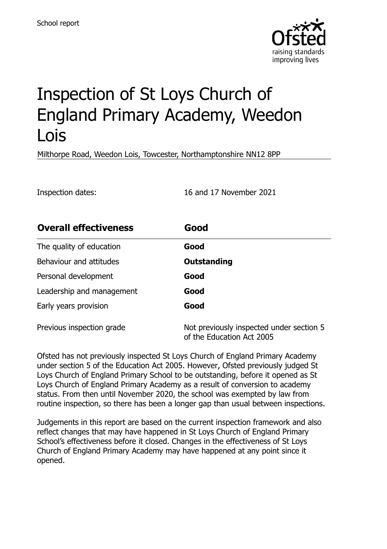

# Inspection of St Loys Church of England Primary Academy, Weedon Lois

Milthorpe Road, Weedon Lois, Towcester, Northamptonshire NN12 8PP

Inspection dates: 16 and 17 November 2021

| <b>Overall effectiveness</b> | Good                                                                  |
|------------------------------|-----------------------------------------------------------------------|
| The quality of education     | Good                                                                  |
| Behaviour and attitudes      | Outstanding                                                           |
| Personal development         | Good                                                                  |
| Leadership and management    | Good                                                                  |
| Early years provision        | Good                                                                  |
| Previous inspection grade    | Not previously inspected under section 5<br>of the Education Act 2005 |

Ofsted has not previously inspected St Loys Church of England Primary Academy under section 5 of the Education Act 2005. However, Ofsted previously judged St Loys Church of England Primary School to be outstanding, before it opened as St Loys Church of England Primary Academy as a result of conversion to academy status. From then until November 2020, the school was exempted by law from routine inspection, so there has been a longer gap than usual between inspections.

Judgements in this report are based on the current inspection framework and also reflect changes that may have happened in St Loys Church of England Primary School's effectiveness before it closed. Changes in the effectiveness of St Loys Church of England Primary Academy may have happened at any point since it opened.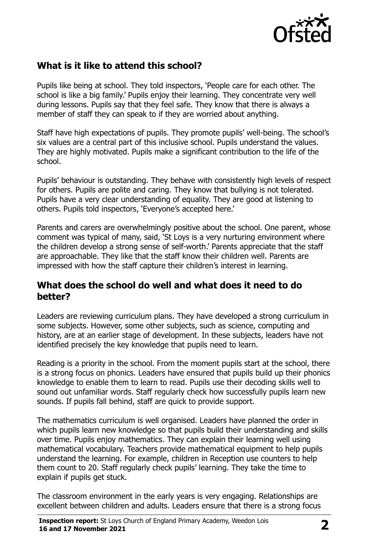

# **What is it like to attend this school?**

Pupils like being at school. They told inspectors, 'People care for each other. The school is like a big family.' Pupils enjoy their learning. They concentrate very well during lessons. Pupils say that they feel safe. They know that there is always a member of staff they can speak to if they are worried about anything.

Staff have high expectations of pupils. They promote pupils' well-being. The school's six values are a central part of this inclusive school. Pupils understand the values. They are highly motivated. Pupils make a significant contribution to the life of the school.

Pupils' behaviour is outstanding. They behave with consistently high levels of respect for others. Pupils are polite and caring. They know that bullying is not tolerated. Pupils have a very clear understanding of equality. They are good at listening to others. Pupils told inspectors, 'Everyone's accepted here.'

Parents and carers are overwhelmingly positive about the school. One parent, whose comment was typical of many, said, 'St Loys is a very nurturing environment where the children develop a strong sense of self-worth.' Parents appreciate that the staff are approachable. They like that the staff know their children well. Parents are impressed with how the staff capture their children's interest in learning.

#### **What does the school do well and what does it need to do better?**

Leaders are reviewing curriculum plans. They have developed a strong curriculum in some subjects. However, some other subjects, such as science, computing and history, are at an earlier stage of development. In these subjects, leaders have not identified precisely the key knowledge that pupils need to learn.

Reading is a priority in the school. From the moment pupils start at the school, there is a strong focus on phonics. Leaders have ensured that pupils build up their phonics knowledge to enable them to learn to read. Pupils use their decoding skills well to sound out unfamiliar words. Staff regularly check how successfully pupils learn new sounds. If pupils fall behind, staff are quick to provide support.

The mathematics curriculum is well organised. Leaders have planned the order in which pupils learn new knowledge so that pupils build their understanding and skills over time. Pupils enjoy mathematics. They can explain their learning well using mathematical vocabulary. Teachers provide mathematical equipment to help pupils understand the learning. For example, children in Reception use counters to help them count to 20. Staff regularly check pupils' learning. They take the time to explain if pupils get stuck.

The classroom environment in the early years is very engaging. Relationships are excellent between children and adults. Leaders ensure that there is a strong focus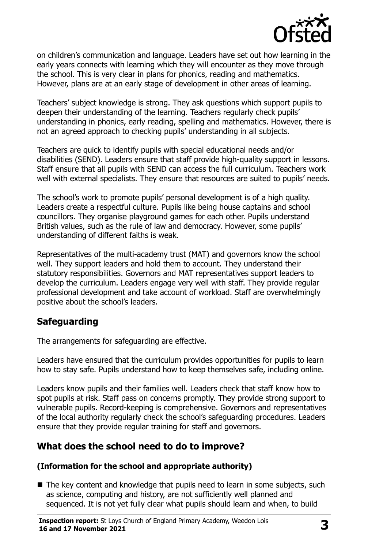

on children's communication and language. Leaders have set out how learning in the early years connects with learning which they will encounter as they move through the school. This is very clear in plans for phonics, reading and mathematics. However, plans are at an early stage of development in other areas of learning.

Teachers' subject knowledge is strong. They ask questions which support pupils to deepen their understanding of the learning. Teachers regularly check pupils' understanding in phonics, early reading, spelling and mathematics. However, there is not an agreed approach to checking pupils' understanding in all subjects.

Teachers are quick to identify pupils with special educational needs and/or disabilities (SEND). Leaders ensure that staff provide high-quality support in lessons. Staff ensure that all pupils with SEND can access the full curriculum. Teachers work well with external specialists. They ensure that resources are suited to pupils' needs.

The school's work to promote pupils' personal development is of a high quality. Leaders create a respectful culture. Pupils like being house captains and school councillors. They organise playground games for each other. Pupils understand British values, such as the rule of law and democracy. However, some pupils' understanding of different faiths is weak.

Representatives of the multi-academy trust (MAT) and governors know the school well. They support leaders and hold them to account. They understand their statutory responsibilities. Governors and MAT representatives support leaders to develop the curriculum. Leaders engage very well with staff. They provide regular professional development and take account of workload. Staff are overwhelmingly positive about the school's leaders.

# **Safeguarding**

The arrangements for safeguarding are effective.

Leaders have ensured that the curriculum provides opportunities for pupils to learn how to stay safe. Pupils understand how to keep themselves safe, including online.

Leaders know pupils and their families well. Leaders check that staff know how to spot pupils at risk. Staff pass on concerns promptly. They provide strong support to vulnerable pupils. Record-keeping is comprehensive. Governors and representatives of the local authority regularly check the school's safeguarding procedures. Leaders ensure that they provide regular training for staff and governors.

# **What does the school need to do to improve?**

#### **(Information for the school and appropriate authority)**

■ The key content and knowledge that pupils need to learn in some subjects, such as science, computing and history, are not sufficiently well planned and sequenced. It is not yet fully clear what pupils should learn and when, to build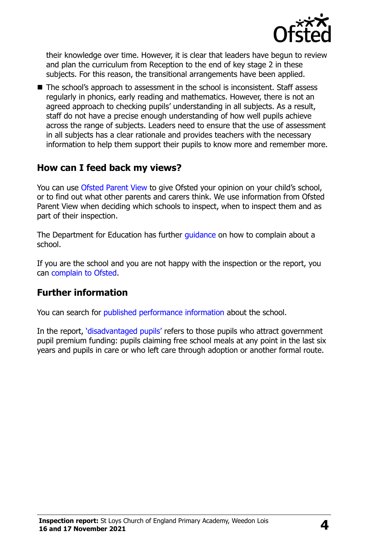

their knowledge over time. However, it is clear that leaders have begun to review and plan the curriculum from Reception to the end of key stage 2 in these subjects. For this reason, the transitional arrangements have been applied.

■ The school's approach to assessment in the school is inconsistent. Staff assess regularly in phonics, early reading and mathematics. However, there is not an agreed approach to checking pupils' understanding in all subjects. As a result, staff do not have a precise enough understanding of how well pupils achieve across the range of subjects. Leaders need to ensure that the use of assessment in all subjects has a clear rationale and provides teachers with the necessary information to help them support their pupils to know more and remember more.

### **How can I feed back my views?**

You can use [Ofsted Parent View](http://parentview.ofsted.gov.uk/) to give Ofsted your opinion on your child's school, or to find out what other parents and carers think. We use information from Ofsted Parent View when deciding which schools to inspect, when to inspect them and as part of their inspection.

The Department for Education has further quidance on how to complain about a school.

If you are the school and you are not happy with the inspection or the report, you can [complain to Ofsted.](http://www.gov.uk/complain-ofsted-report)

### **Further information**

You can search for [published performance information](http://www.compare-school-performance.service.gov.uk/) about the school.

In the report, '[disadvantaged pupils](http://www.gov.uk/guidance/pupil-premium-information-for-schools-and-alternative-provision-settings)' refers to those pupils who attract government pupil premium funding: pupils claiming free school meals at any point in the last six years and pupils in care or who left care through adoption or another formal route.

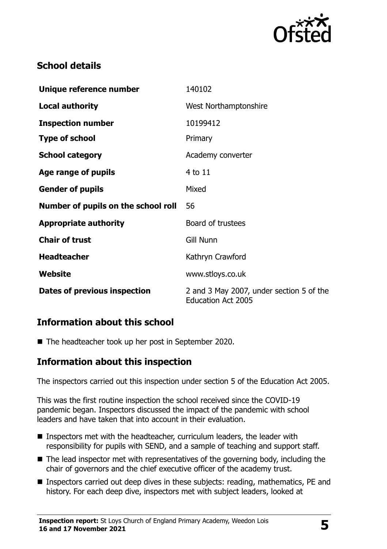

# **School details**

| Unique reference number             | 140102                                                                |
|-------------------------------------|-----------------------------------------------------------------------|
| <b>Local authority</b>              | West Northamptonshire                                                 |
| <b>Inspection number</b>            | 10199412                                                              |
| <b>Type of school</b>               | Primary                                                               |
| <b>School category</b>              | Academy converter                                                     |
| Age range of pupils                 | 4 to 11                                                               |
| <b>Gender of pupils</b>             | Mixed                                                                 |
| Number of pupils on the school roll | 56                                                                    |
| <b>Appropriate authority</b>        | Board of trustees                                                     |
| <b>Chair of trust</b>               | <b>Gill Nunn</b>                                                      |
| <b>Headteacher</b>                  | Kathryn Crawford                                                      |
| Website                             | www.stloys.co.uk                                                      |
| Dates of previous inspection        | 2 and 3 May 2007, under section 5 of the<br><b>Education Act 2005</b> |

# **Information about this school**

■ The headteacher took up her post in September 2020.

### **Information about this inspection**

The inspectors carried out this inspection under section 5 of the Education Act 2005.

This was the first routine inspection the school received since the COVID-19 pandemic began. Inspectors discussed the impact of the pandemic with school leaders and have taken that into account in their evaluation.

- Inspectors met with the headteacher, curriculum leaders, the leader with responsibility for pupils with SEND, and a sample of teaching and support staff.
- The lead inspector met with representatives of the governing body, including the chair of governors and the chief executive officer of the academy trust.
- Inspectors carried out deep dives in these subjects: reading, mathematics, PE and history. For each deep dive, inspectors met with subject leaders, looked at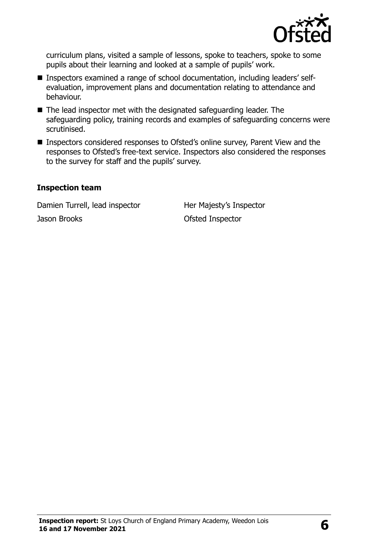

curriculum plans, visited a sample of lessons, spoke to teachers, spoke to some pupils about their learning and looked at a sample of pupils' work.

- Inspectors examined a range of school documentation, including leaders' selfevaluation, improvement plans and documentation relating to attendance and behaviour.
- The lead inspector met with the designated safeguarding leader. The safeguarding policy, training records and examples of safeguarding concerns were scrutinised.
- **Inspectors considered responses to Ofsted's online survey, Parent View and the** responses to Ofsted's free-text service. Inspectors also considered the responses to the survey for staff and the pupils' survey.

#### **Inspection team**

Damien Turrell, lead inspector Her Majesty's Inspector Jason Brooks **Ofsted Inspector**